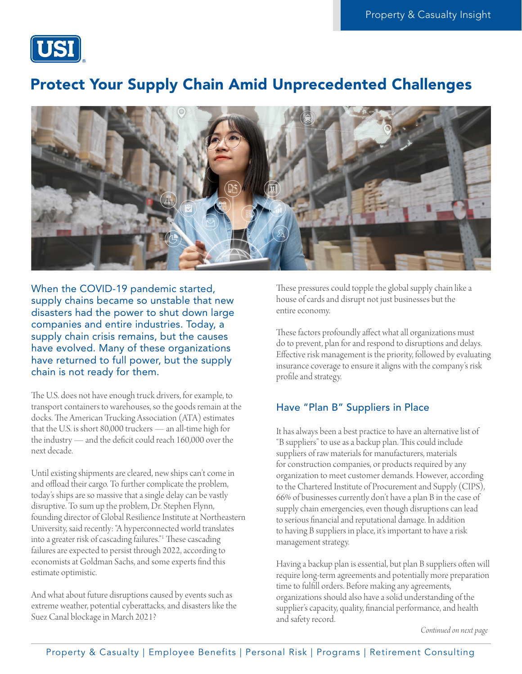

# Protect Your Supply Chain Amid Unprecedented Challenges



When the COVID-19 pandemic started, supply chains became so unstable that new disasters had the power to shut down large companies and entire industries. Today, a supply chain crisis remains, but the causes have evolved. Many of these organizations have returned to full power, but the supply chain is not ready for them.

The U.S. does not have enough truck drivers, for example, to transport containers to warehouses, so the goods remain at the docks. The American Trucking Association (ATA) estimates that the U.S. is short 80,000 truckers — an all-time high for the industry — and the deficit could reach 160,000 over the next decade.

Until existing shipments are cleared, new ships can't come in and offload their cargo. To further complicate the problem, today's ships are so massive that a single delay can be vastly disruptive. To sum up the problem, Dr. Stephen Flynn, founding director of Global Resilience Institute at Northeastern University, said recently: "A hyperconnected world translates into a greater risk of cascading failures."1 These cascading failures are expected to persist through 2022, according to economists at Goldman Sachs, and some experts find this estimate optimistic.

And what about future disruptions caused by events such as extreme weather, potential cyberattacks, and disasters like the Suez Canal blockage in March 2021?

These pressures could topple the global supply chain like a house of cards and disrupt not just businesses but the entire economy.

These factors profoundly affect what all organizations must do to prevent, plan for and respond to disruptions and delays. Effective risk management is the priority, followed by evaluating insurance coverage to ensure it aligns with the company's risk profile and strategy.

### Have "Plan B" Suppliers in Place

It has always been a best practice to have an alternative list of "B suppliers" to use as a backup plan. This could include suppliers of raw materials for manufacturers, materials for construction companies, or products required by any organization to meet customer demands. However, according to the Chartered Institute of Procurement and Supply (CIPS), 66% of businesses currently don't have a plan B in the case of supply chain emergencies, even though disruptions can lead to serious financial and reputational damage. In addition to having B suppliers in place, it's important to have a risk management strategy.

Having a backup plan is essential, but plan B suppliers often will require long-term agreements and potentially more preparation time to fulfill orders. Before making any agreements, organizations should also have a solid understanding of the supplier's capacity, quality, financial performance, and health and safety record.

*Continued on next page*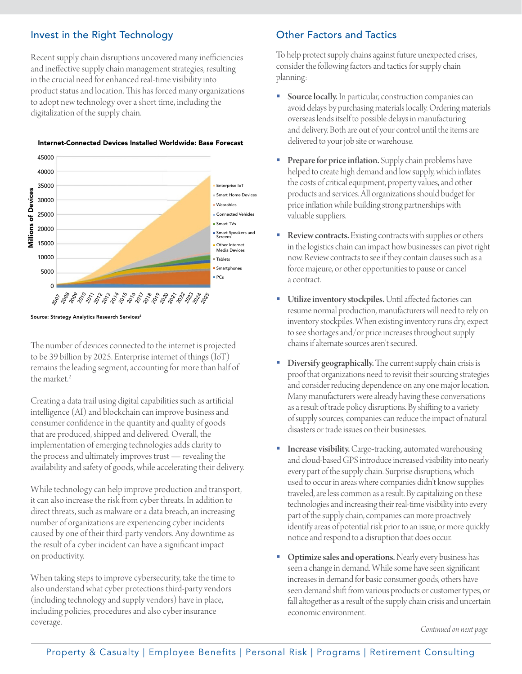## Invest in the Right Technology

Recent supply chain disruptions uncovered many inefficiencies and ineffective supply chain management strategies, resulting in the crucial need for enhanced real-time visibility into product status and location. This has forced many organizations to adopt new technology over a short time, including the digitalization of the supply chain.



Internet-Connected Devices Installed Worldwide: Base Forecast

#### Source: Strategy Analytics Research Services<sup>2</sup>

The number of devices connected to the internet is projected to be 39 billion by 2025. Enterprise internet of things (IoT) remains the leading segment, accounting for more than half of the market.<sup>2</sup>

Creating a data trail using digital capabilities such as artificial intelligence (AI) and blockchain can improve business and consumer confidence in the quantity and quality of goods that are produced, shipped and delivered. Overall, the implementation of emerging technologies adds clarity to the process and ultimately improves trust — revealing the availability and safety of goods, while accelerating their delivery.

While technology can help improve production and transport, it can also increase the risk from cyber threats. In addition to direct threats, such as malware or a data breach, an increasing number of organizations are experiencing cyber incidents caused by one of their third-party vendors. Any downtime as the result of a cyber incident can have a significant impact on productivity.

When taking steps to improve cybersecurity, take the time to also understand what cyber protections third-party vendors (including technology and supply vendors) have in place, including policies, procedures and also cyber insurance coverage.

### Other Factors and Tactics

To help protect supply chains against future unexpected crises, consider the following factors and tactics for supply chain planning:

- Source locally. In particular, construction companies can avoid delays by purchasing materials locally. Ordering materials overseas lends itself to possible delays in manufacturing and delivery. Both are out of your control until the items are delivered to your job site or warehouse.
- Prepare for price inflation. Supply chain problems have helped to create high demand and low supply, which inflates the costs of critical equipment, property values, and other products and services. All organizations should budget for price inflation while building strong partnerships with valuable suppliers.
- Review contracts. Existing contracts with supplies or others in the logistics chain can impact how businesses can pivot right now. Review contracts to see if they contain clauses such as a force majeure, or other opportunities to pause or cancel a contract.
- Utilize inventory stockpiles. Until affected factories can resume normal production, manufacturers will need to rely on inventory stockpiles. When existing inventory runs dry, expect to see shortages and/or price increases throughout supply chains if alternate sources aren't secured.
- Diversify geographically. The current supply chain crisis is proof that organizations need to revisit their sourcing strategies and consider reducing dependence on any one major location. Many manufacturers were already having these conversations as a result of trade policy disruptions. By shifting to a variety of supply sources, companies can reduce the impact of natural disasters or trade issues on their businesses.
- **Increase visibility.** Cargo-tracking, automated warehousing and cloud-based GPS introduce increased visibility into nearly every part of the supply chain. Surprise disruptions, which used to occur in areas where companies didn't know supplies traveled, are less common as a result. By capitalizing on these technologies and increasing their real-time visibility into every part of the supply chain, companies can more proactively identify areas of potential risk prior to an issue, or more quickly notice and respond to a disruption that does occur.
- Optimize sales and operations. Nearly every business has seen a change in demand. While some have seen significant increases in demand for basic consumer goods, others have seen demand shift from various products or customer types, or fall altogether as a result of the supply chain crisis and uncertain economic environment.

*Continued on next page*